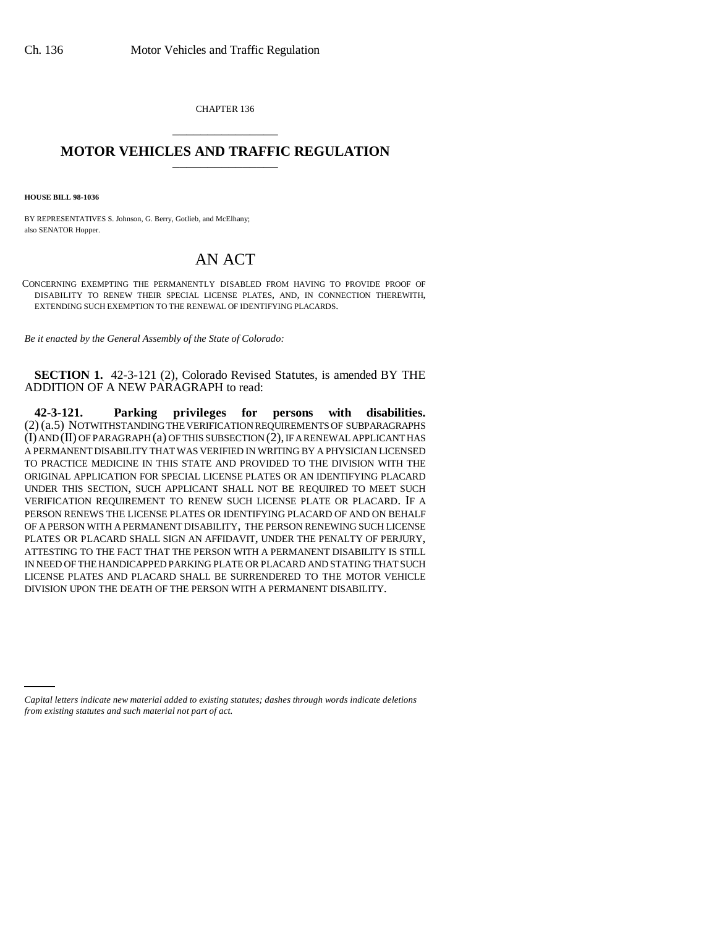CHAPTER 136 \_\_\_\_\_\_\_\_\_\_\_\_\_\_\_

## **MOTOR VEHICLES AND TRAFFIC REGULATION**

**HOUSE BILL 98-1036**

BY REPRESENTATIVES S. Johnson, G. Berry, Gotlieb, and McElhany; also SENATOR Hopper.

## AN ACT

CONCERNING EXEMPTING THE PERMANENTLY DISABLED FROM HAVING TO PROVIDE PROOF OF DISABILITY TO RENEW THEIR SPECIAL LICENSE PLATES, AND, IN CONNECTION THEREWITH, EXTENDING SUCH EXEMPTION TO THE RENEWAL OF IDENTIFYING PLACARDS.

*Be it enacted by the General Assembly of the State of Colorado:*

**SECTION 1.** 42-3-121 (2), Colorado Revised Statutes, is amended BY THE ADDITION OF A NEW PARAGRAPH to read:

**42-3-121. Parking privileges for persons with disabilities.** (2) (a.5) NOTWITHSTANDING THE VERIFICATION REQUIREMENTS OF SUBPARAGRAPHS (I) AND (II) OF PARAGRAPH (a) OF THIS SUBSECTION (2), IF A RENEWAL APPLICANT HAS A PERMANENT DISABILITY THAT WAS VERIFIED IN WRITING BY A PHYSICIAN LICENSED TO PRACTICE MEDICINE IN THIS STATE AND PROVIDED TO THE DIVISION WITH THE ORIGINAL APPLICATION FOR SPECIAL LICENSE PLATES OR AN IDENTIFYING PLACARD UNDER THIS SECTION, SUCH APPLICANT SHALL NOT BE REQUIRED TO MEET SUCH VERIFICATION REQUIREMENT TO RENEW SUCH LICENSE PLATE OR PLACARD. IF A PERSON RENEWS THE LICENSE PLATES OR IDENTIFYING PLACARD OF AND ON BEHALF OF A PERSON WITH A PERMANENT DISABILITY, THE PERSON RENEWING SUCH LICENSE PLATES OR PLACARD SHALL SIGN AN AFFIDAVIT, UNDER THE PENALTY OF PERJURY, ATTESTING TO THE FACT THAT THE PERSON WITH A PERMANENT DISABILITY IS STILL IN NEED OF THE HANDICAPPED PARKING PLATE OR PLACARD AND STATING THAT SUCH LICENSE PLATES AND PLACARD SHALL BE SURRENDERED TO THE MOTOR VEHICLE DIVISION UPON THE DEATH OF THE PERSON WITH A PERMANENT DISABILITY.

*Capital letters indicate new material added to existing statutes; dashes through words indicate deletions from existing statutes and such material not part of act.*